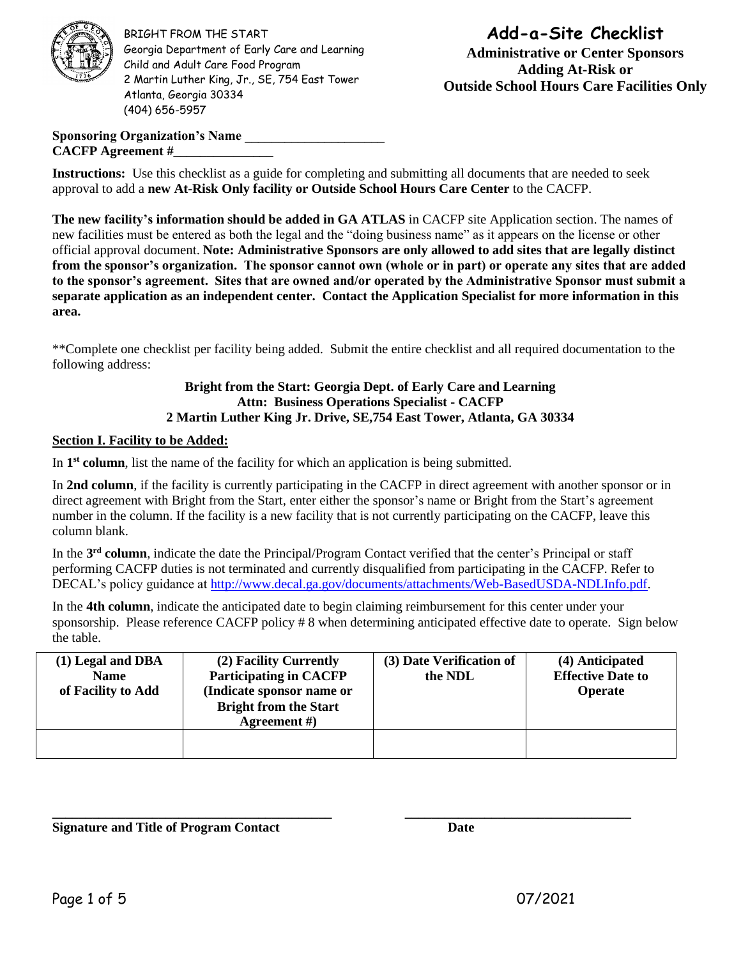

BRIGHT FROM THE START Georgia Department of Early Care and Learning Child and Adult Care Food Program 2 Martin Luther King, Jr., SE, 754 East Tower Atlanta, Georgia 30334 (404) 656-5957

# **Add-a-Site Checklist Administrative or Center Sponsors Adding At-Risk or Outside School Hours Care Facilities Only**

**Sponsoring Organization's Name \_\_\_\_\_\_\_\_\_\_\_\_\_\_\_\_\_\_\_\_\_ CACFP Agreement #\_\_\_\_\_\_\_\_\_\_\_\_\_\_\_**

**Instructions:** Use this checklist as a guide for completing and submitting all documents that are needed to seek approval to add a **new At-Risk Only facility or Outside School Hours Care Center** to the CACFP.

**The new facility's information should be added in GA ATLAS** in CACFP site Application section. The names of new facilities must be entered as both the legal and the "doing business name" as it appears on the license or other official approval document. **Note: Administrative Sponsors are only allowed to add sites that are legally distinct from the sponsor's organization. The sponsor cannot own (whole or in part) or operate any sites that are added to the sponsor's agreement. Sites that are owned and/or operated by the Administrative Sponsor must submit a separate application as an independent center. Contact the Application Specialist for more information in this area.** 

\*\*Complete one checklist per facility being added. Submit the entire checklist and all required documentation to the following address:

### **Bright from the Start: Georgia Dept. of Early Care and Learning Attn: Business Operations Specialist - CACFP 2 Martin Luther King Jr. Drive, SE,754 East Tower, Atlanta, GA 30334**

### **Section I. Facility to be Added:**

In 1<sup>st</sup> **column**, list the name of the facility for which an application is being submitted.

In **2nd column**, if the facility is currently participating in the CACFP in direct agreement with another sponsor or in direct agreement with Bright from the Start, enter either the sponsor's name or Bright from the Start's agreement number in the column. If the facility is a new facility that is not currently participating on the CACFP, leave this column blank.

In the **3 rd column**, indicate the date the Principal/Program Contact verified that the center's Principal or staff performing CACFP duties is not terminated and currently disqualified from participating in the CACFP. Refer to DECAL's policy guidance at [http://www.decal.ga.gov/documents/attachments/Web-BasedUSDA-NDLInfo.pdf.](http://www.decal.ga.gov/documents/attachments/Web-BasedUSDA-NDLInfo.pdf)

In the **4th column**, indicate the anticipated date to begin claiming reimbursement for this center under your sponsorship. Please reference CACFP policy # 8 when determining anticipated effective date to operate. Sign below the table.

| (1) Legal and DBA<br><b>Name</b><br>of Facility to Add | (2) Facility Currently<br><b>Participating in CACFP</b><br>(Indicate sponsor name or<br><b>Bright from the Start</b><br>Agreement $#$ ) | (3) Date Verification of<br>the NDL | (4) Anticipated<br><b>Effective Date to</b><br><b>Operate</b> |
|--------------------------------------------------------|-----------------------------------------------------------------------------------------------------------------------------------------|-------------------------------------|---------------------------------------------------------------|
|                                                        |                                                                                                                                         |                                     |                                                               |

**\_\_\_\_\_\_\_\_\_\_\_\_\_\_\_\_\_\_\_\_\_\_\_\_\_\_\_\_\_\_\_\_\_\_\_\_\_\_\_\_\_\_ \_\_\_\_\_\_\_\_\_\_\_\_\_\_\_\_\_\_\_\_\_\_\_\_\_\_\_\_\_\_\_\_\_\_**

**Signature and Title of Program Contact Date**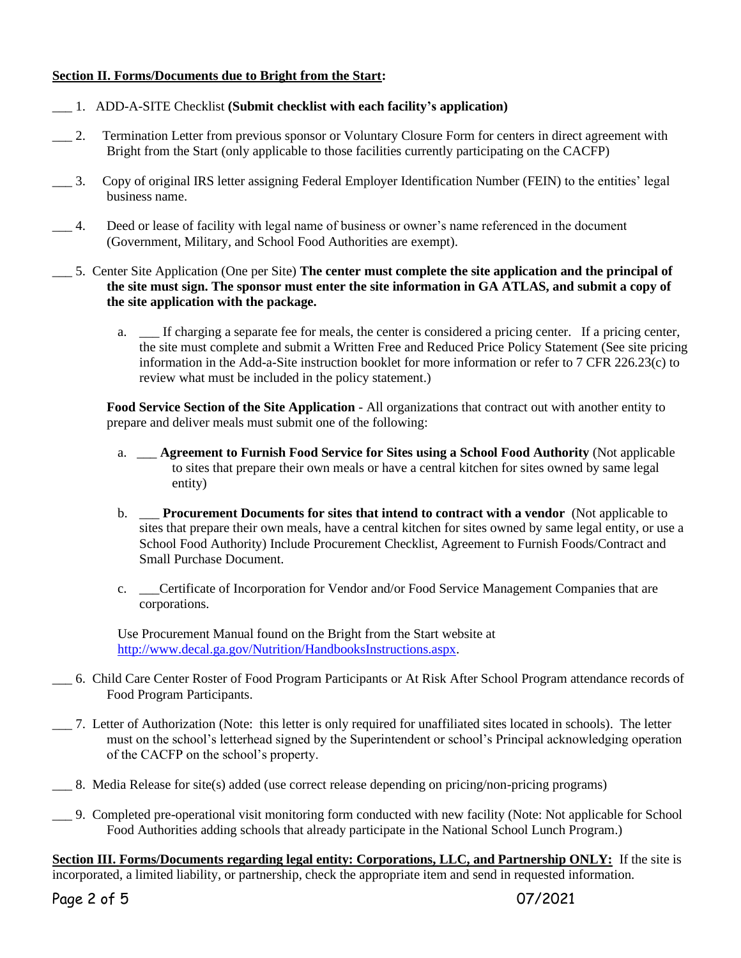## **Section II. Forms/Documents due to Bright from the Start:**

- \_\_\_ 1. ADD-A-SITE Checklist **(Submit checklist with each facility's application)**
- \_\_\_ 2. Termination Letter from previous sponsor or Voluntary Closure Form for centers in direct agreement with Bright from the Start (only applicable to those facilities currently participating on the CACFP)
- \_\_\_ 3. Copy of original IRS letter assigning Federal Employer Identification Number (FEIN) to the entities' legal business name.
- \_\_\_ 4. Deed or lease of facility with legal name of business or owner's name referenced in the document (Government, Military, and School Food Authorities are exempt).
- \_\_\_ 5. Center Site Application (One per Site) **The center must complete the site application and the principal of the site must sign. The sponsor must enter the site information in GA ATLAS, and submit a copy of the site application with the package.**
	- a. \_\_\_ If charging a separate fee for meals, the center is considered a pricing center. If a pricing center, the site must complete and submit a Written Free and Reduced Price Policy Statement (See site pricing information in the Add-a-Site instruction booklet for more information or refer to 7 CFR 226.23(c) to review what must be included in the policy statement.)

**Food Service Section of the Site Application** - All organizations that contract out with another entity to prepare and deliver meals must submit one of the following:

- a. \_\_\_ **Agreement to Furnish Food Service for Sites using a School Food Authority** (Not applicable to sites that prepare their own meals or have a central kitchen for sites owned by same legal entity)
- b. \_\_\_ **Procurement Documents for sites that intend to contract with a vendor** (Not applicable to sites that prepare their own meals, have a central kitchen for sites owned by same legal entity, or use a School Food Authority) Include Procurement Checklist, Agreement to Furnish Foods/Contract and Small Purchase Document.
- c. \_\_\_Certificate of Incorporation for Vendor and/or Food Service Management Companies that are corporations.

Use Procurement Manual found on the Bright from the Start website at [http://www.decal.ga.gov/Nutrition/HandbooksInstructions.aspx.](http://www.decal.ga.gov/Nutrition/HandbooksInstructions.aspx)

- \_\_\_ 6. Child Care Center Roster of Food Program Participants or At Risk After School Program attendance records of Food Program Participants.
- \_\_\_ 7. Letter of Authorization (Note: this letter is only required for unaffiliated sites located in schools). The letter must on the school's letterhead signed by the Superintendent or school's Principal acknowledging operation of the CACFP on the school's property.
- \_\_\_ 8. Media Release for site(s) added (use correct release depending on pricing/non-pricing programs)
- \_\_\_ 9. Completed pre-operational visit monitoring form conducted with new facility (Note: Not applicable for School Food Authorities adding schools that already participate in the National School Lunch Program.)

**Section III. Forms/Documents regarding legal entity: Corporations, LLC, and Partnership ONLY:** If the site is incorporated, a limited liability, or partnership, check the appropriate item and send in requested information.

Page 2 of 5 07/2021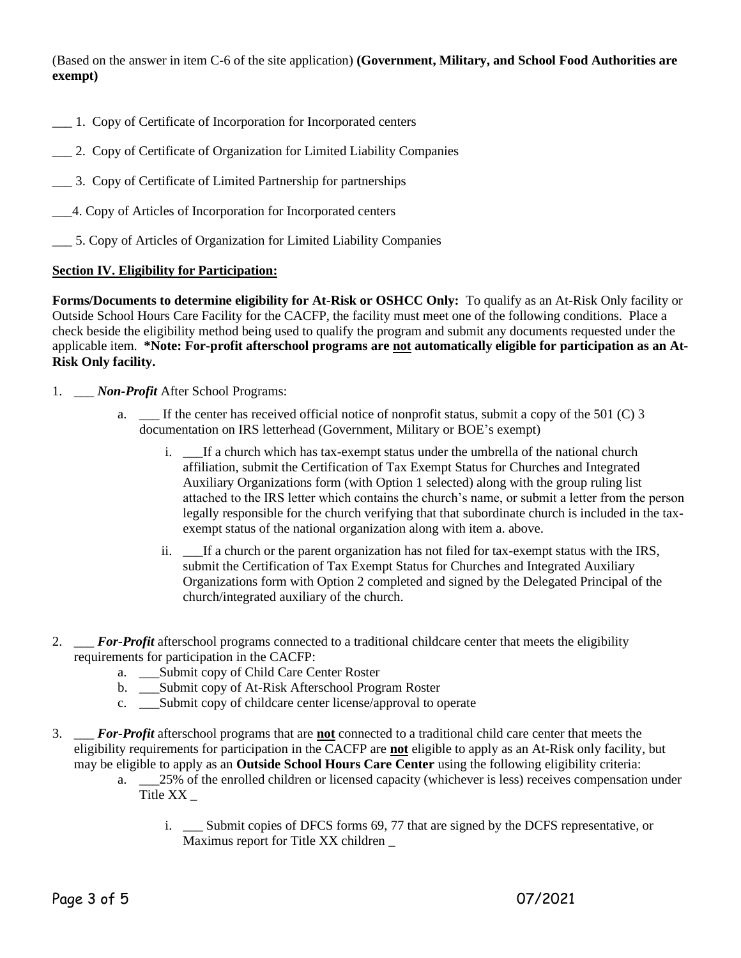(Based on the answer in item C-6 of the site application) **(Government, Military, and School Food Authorities are exempt)** 

- \_\_\_ 1. Copy of Certificate of Incorporation for Incorporated centers
- \_\_\_ 2. Copy of Certificate of Organization for Limited Liability Companies
- \_\_\_ 3. Copy of Certificate of Limited Partnership for partnerships
- \_\_\_4. Copy of Articles of Incorporation for Incorporated centers
- \_\_\_ 5. Copy of Articles of Organization for Limited Liability Companies

#### **Section IV. Eligibility for Participation:**

**Forms/Documents to determine eligibility for At-Risk or OSHCC Only:** To qualify as an At-Risk Only facility or Outside School Hours Care Facility for the CACFP, the facility must meet one of the following conditions. Place a check beside the eligibility method being used to qualify the program and submit any documents requested under the applicable item. **\*Note: For-profit afterschool programs are not automatically eligible for participation as an At-Risk Only facility.**

- 1. \_\_\_ *Non-Profit* After School Programs:
	- a. If the center has received official notice of nonprofit status, submit a copy of the 501 (C) 3 documentation on IRS letterhead (Government, Military or BOE's exempt)
		- i. \_\_\_If a church which has tax-exempt status under the umbrella of the national church affiliation, submit the Certification of Tax Exempt Status for Churches and Integrated Auxiliary Organizations form (with Option 1 selected) along with the group ruling list attached to the IRS letter which contains the church's name, or submit a letter from the person legally responsible for the church verifying that that subordinate church is included in the taxexempt status of the national organization along with item a. above.
		- ii. \_\_\_If a church or the parent organization has not filed for tax-exempt status with the IRS, submit the Certification of Tax Exempt Status for Churches and Integrated Auxiliary Organizations form with Option 2 completed and signed by the Delegated Principal of the church/integrated auxiliary of the church.
- 2. \_\_\_ *For-Profit* afterschool programs connected to a traditional childcare center that meets the eligibility requirements for participation in the CACFP:
	- a. \_\_\_Submit copy of Child Care Center Roster
	- b. \_\_\_Submit copy of At-Risk Afterschool Program Roster
	- c. \_\_\_Submit copy of childcare center license/approval to operate
- 3. \_\_\_ *For-Profit* afterschool programs that are **not** connected to a traditional child care center that meets the eligibility requirements for participation in the CACFP are **not** eligible to apply as an At-Risk only facility, but may be eligible to apply as an **Outside School Hours Care Center** using the following eligibility criteria:
	- a. \_\_\_25% of the enrolled children or licensed capacity (whichever is less) receives compensation under Title XX \_
		- i. \_\_\_ Submit copies of DFCS forms 69, 77 that are signed by the DCFS representative, or Maximus report for Title XX children \_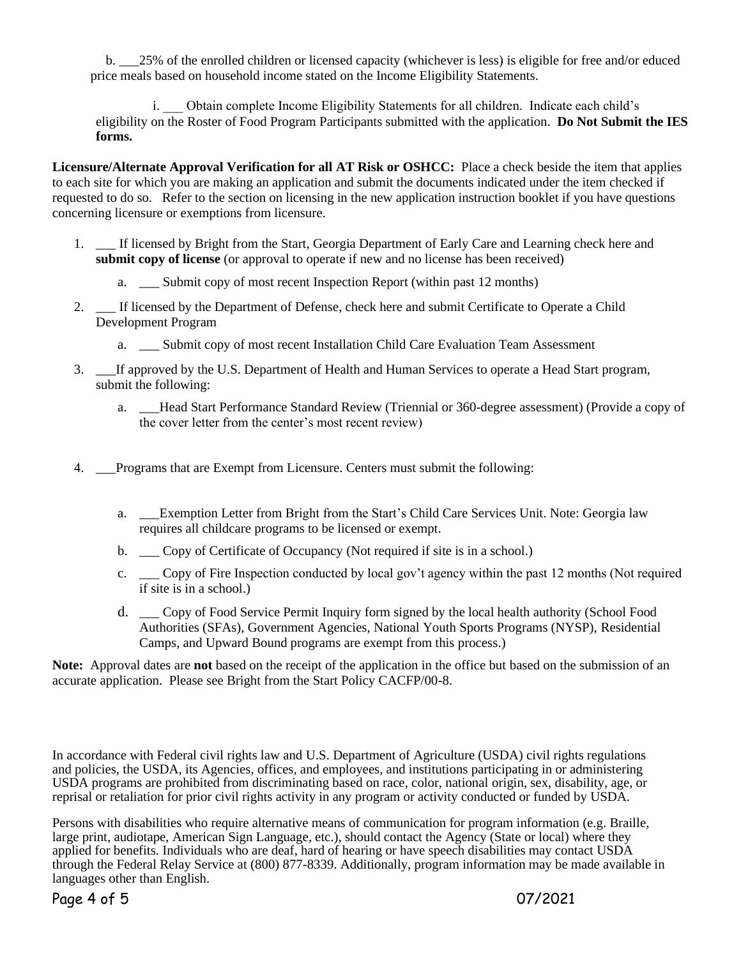b. \_\_\_25% of the enrolled children or licensed capacity (whichever is less) is eligible for free and/or educed price meals based on household income stated on the Income Eligibility Statements.

i. Obtain complete Income Eligibility Statements for all children. Indicate each child's eligibility on the Roster of Food Program Participants submitted with the application. **Do Not Submit the IES forms.**

**Licensure/Alternate Approval Verification for all AT Risk or OSHCC:** Place a check beside the item that applies to each site for which you are making an application and submit the documents indicated under the item checked if requested to do so. Refer to the section on licensing in the new application instruction booklet if you have questions concerning licensure or exemptions from licensure.

- 1. \_\_\_ If licensed by Bright from the Start, Georgia Department of Early Care and Learning check here and **submit copy of license** (or approval to operate if new and no license has been received)
	- a. \_\_\_ Submit copy of most recent Inspection Report (within past 12 months)
- 2. \_\_\_ If licensed by the Department of Defense, check here and submit Certificate to Operate a Child Development Program
	- a. \_\_\_ Submit copy of most recent Installation Child Care Evaluation Team Assessment
- 3. \_\_\_If approved by the U.S. Department of Health and Human Services to operate a Head Start program, submit the following:
	- a. \_\_\_Head Start Performance Standard Review (Triennial or 360-degree assessment) (Provide a copy of the cover letter from the center's most recent review)
- 4. \_\_\_Programs that are Exempt from Licensure. Centers must submit the following:
	- a. \_\_\_Exemption Letter from Bright from the Start's Child Care Services Unit. Note: Georgia law requires all childcare programs to be licensed or exempt.
	- b. \_\_ Copy of Certificate of Occupancy (Not required if site is in a school.)
	- c. \_\_\_ Copy of Fire Inspection conducted by local gov't agency within the past 12 months (Not required if site is in a school.)
	- d. \_\_\_ Copy of Food Service Permit Inquiry form signed by the local health authority (School Food Authorities (SFAs), Government Agencies, National Youth Sports Programs (NYSP), Residential Camps, and Upward Bound programs are exempt from this process.)

**Note:** Approval dates are **not** based on the receipt of the application in the office but based on the submission of an accurate application. Please see Bright from the Start Policy CACFP/00-8.

In accordance with Federal civil rights law and U.S. Department of Agriculture (USDA) civil rights regulations and policies, the USDA, its Agencies, offices, and employees, and institutions participating in or administering USDA programs are prohibited from discriminating based on race, color, national origin, sex, disability, age, or reprisal or retaliation for prior civil rights activity in any program or activity conducted or funded by USDA.

Persons with disabilities who require alternative means of communication for program information (e.g. Braille, large print, audiotape, American Sign Language, etc.), should contact the Agency (State or local) where they applied for benefits. Individuals who are deaf, hard of hearing or have speech disabilities may contact USDA through the Federal Relay Service at (800) 877-8339. Additionally, program information may be made available in languages other than English.

Page 4 of 5 07/2021